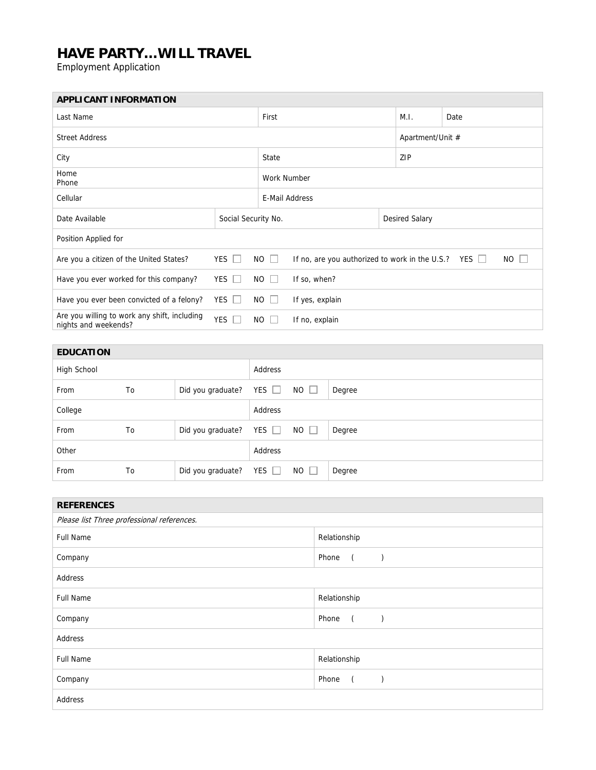## **HAVE PARTY…WILL TRAVEL**

Employment Application

| <b>APPLICANT INFORMATION</b>                                                                                                                     |                         |                   |  |                    |                               |                       |      |                  |  |
|--------------------------------------------------------------------------------------------------------------------------------------------------|-------------------------|-------------------|--|--------------------|-------------------------------|-----------------------|------|------------------|--|
| Last Name                                                                                                                                        |                         |                   |  | First              |                               |                       | M.I. | Date             |  |
| <b>Street Address</b>                                                                                                                            |                         |                   |  |                    |                               |                       |      | Apartment/Unit # |  |
| City                                                                                                                                             |                         |                   |  | State              |                               |                       | ZIP  |                  |  |
| Home<br>Phone                                                                                                                                    |                         |                   |  | <b>Work Number</b> |                               |                       |      |                  |  |
| Cellular                                                                                                                                         |                         |                   |  | E-Mail Address     |                               |                       |      |                  |  |
| Social Security No.<br>Date Available                                                                                                            |                         |                   |  |                    |                               | <b>Desired Salary</b> |      |                  |  |
| Position Applied for                                                                                                                             |                         |                   |  |                    |                               |                       |      |                  |  |
| YES $\Box$<br>$NO$ $\Box$<br>$NO$ $\Box$<br>If no, are you authorized to work in the U.S.? YES $\Box$<br>Are you a citizen of the United States? |                         |                   |  |                    |                               |                       |      |                  |  |
| YES $\Box$<br>$NO$ $\Box$<br>If so, when?<br>Have you ever worked for this company?                                                              |                         |                   |  |                    |                               |                       |      |                  |  |
| YES $\Box$<br><b>NO</b><br>Have you ever been convicted of a felony?<br>If yes, explain<br>$\Box$                                                |                         |                   |  |                    |                               |                       |      |                  |  |
| Are you willing to work any shift, including<br>YES $\Box$<br>nights and weekends?                                                               |                         |                   |  | NO.<br>$\perp$     | If no, explain                |                       |      |                  |  |
|                                                                                                                                                  |                         |                   |  |                    |                               |                       |      |                  |  |
| <b>EDUCATION</b>                                                                                                                                 |                         |                   |  |                    |                               |                       |      |                  |  |
| High School                                                                                                                                      |                         |                   |  | Address            |                               |                       |      |                  |  |
| From                                                                                                                                             | To                      | Did you graduate? |  | YES $\Box$         | <b>NO</b><br>$\Box$<br>Degree |                       |      |                  |  |
| College                                                                                                                                          |                         |                   |  | Address            |                               |                       |      |                  |  |
| From                                                                                                                                             | Did you graduate?<br>To |                   |  | YES $\Box$         | <b>NO</b><br>$\Box$<br>Degree |                       |      |                  |  |
| Other                                                                                                                                            |                         |                   |  | Address            |                               |                       |      |                  |  |

| <b>REFERENCES</b>                          |                                          |  |  |  |  |  |
|--------------------------------------------|------------------------------------------|--|--|--|--|--|
| Please list Three professional references. |                                          |  |  |  |  |  |
| <b>Full Name</b>                           | Relationship                             |  |  |  |  |  |
| Company                                    | Phone<br>$\overline{a}$<br>$\rightarrow$ |  |  |  |  |  |
| Address                                    |                                          |  |  |  |  |  |
| <b>Full Name</b>                           | Relationship                             |  |  |  |  |  |
| Company                                    | Phone<br>$\left($                        |  |  |  |  |  |
| Address                                    |                                          |  |  |  |  |  |
| <b>Full Name</b>                           | Relationship                             |  |  |  |  |  |
| Company                                    | Phone<br>$\sqrt{2}$                      |  |  |  |  |  |
| Address                                    |                                          |  |  |  |  |  |

From To Did you graduate? YES NO D Degree